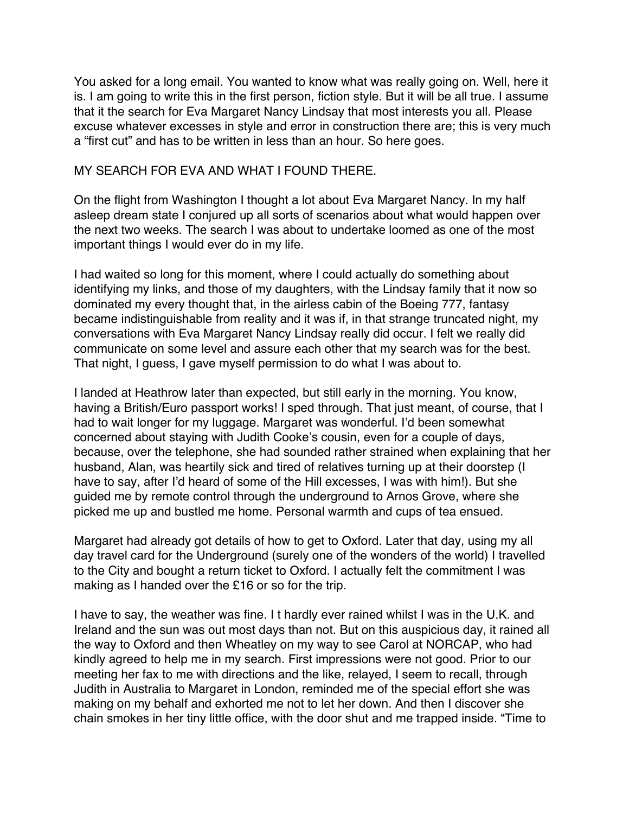You asked for a long email. You wanted to know what was really going on. Well, here it is. I am going to write this in the first person, fiction style. But it will be all true. I assume that it the search for Eva Margaret Nancy Lindsay that most interests you all. Please excuse whatever excesses in style and error in construction there are; this is very much a "first cut" and has to be written in less than an hour. So here goes.

## MY SEARCH FOR EVA AND WHAT I FOUND THERE.

On the flight from Washington I thought a lot about Eva Margaret Nancy. In my half asleep dream state I conjured up all sorts of scenarios about what would happen over the next two weeks. The search I was about to undertake loomed as one of the most important things I would ever do in my life.

I had waited so long for this moment, where I could actually do something about identifying my links, and those of my daughters, with the Lindsay family that it now so dominated my every thought that, in the airless cabin of the Boeing 777, fantasy became indistinguishable from reality and it was if, in that strange truncated night, my conversations with Eva Margaret Nancy Lindsay really did occur. I felt we really did communicate on some level and assure each other that my search was for the best. That night, I guess, I gave myself permission to do what I was about to.

I landed at Heathrow later than expected, but still early in the morning. You know, having a British/Euro passport works! I sped through. That just meant, of course, that I had to wait longer for my luggage. Margaret was wonderful. I'd been somewhat concerned about staying with Judith Cooke's cousin, even for a couple of days, because, over the telephone, she had sounded rather strained when explaining that her husband, Alan, was heartily sick and tired of relatives turning up at their doorstep (I have to say, after I'd heard of some of the Hill excesses, I was with him!). But she guided me by remote control through the underground to Arnos Grove, where she picked me up and bustled me home. Personal warmth and cups of tea ensued.

Margaret had already got details of how to get to Oxford. Later that day, using my all day travel card for the Underground (surely one of the wonders of the world) I travelled to the City and bought a return ticket to Oxford. I actually felt the commitment I was making as I handed over the £16 or so for the trip.

I have to say, the weather was fine. I t hardly ever rained whilst I was in the U.K. and Ireland and the sun was out most days than not. But on this auspicious day, it rained all the way to Oxford and then Wheatley on my way to see Carol at NORCAP, who had kindly agreed to help me in my search. First impressions were not good. Prior to our meeting her fax to me with directions and the like, relayed, I seem to recall, through Judith in Australia to Margaret in London, reminded me of the special effort she was making on my behalf and exhorted me not to let her down. And then I discover she chain smokes in her tiny little office, with the door shut and me trapped inside. "Time to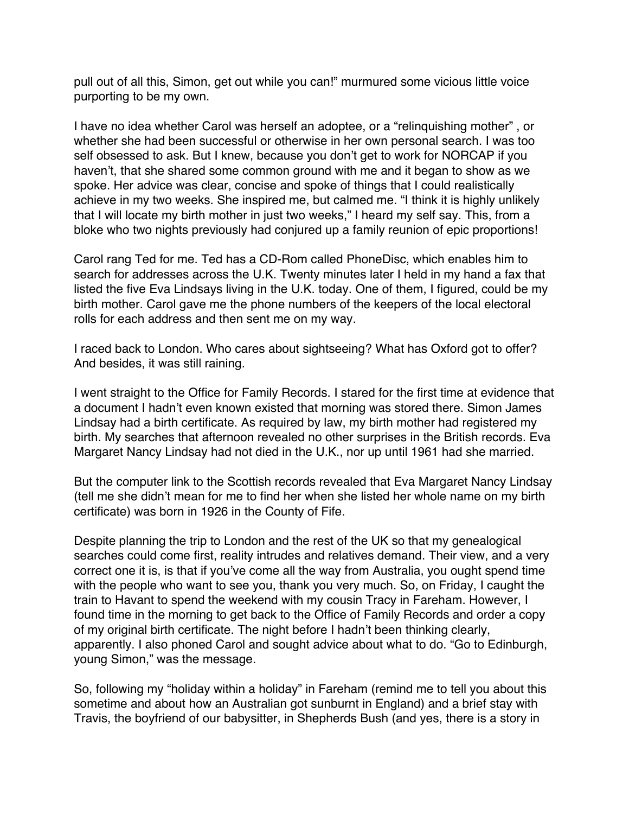pull out of all this, Simon, get out while you can!" murmured some vicious little voice purporting to be my own.

I have no idea whether Carol was herself an adoptee, or a "relinquishing mother" , or whether she had been successful or otherwise in her own personal search. I was too self obsessed to ask. But I knew, because you don't get to work for NORCAP if you haven't, that she shared some common ground with me and it began to show as we spoke. Her advice was clear, concise and spoke of things that I could realistically achieve in my two weeks. She inspired me, but calmed me. "I think it is highly unlikely that I will locate my birth mother in just two weeks," I heard my self say. This, from a bloke who two nights previously had conjured up a family reunion of epic proportions!

Carol rang Ted for me. Ted has a CD-Rom called PhoneDisc, which enables him to search for addresses across the U.K. Twenty minutes later I held in my hand a fax that listed the five Eva Lindsays living in the U.K. today. One of them, I figured, could be my birth mother. Carol gave me the phone numbers of the keepers of the local electoral rolls for each address and then sent me on my way.

I raced back to London. Who cares about sightseeing? What has Oxford got to offer? And besides, it was still raining.

I went straight to the Office for Family Records. I stared for the first time at evidence that a document I hadn't even known existed that morning was stored there. Simon James Lindsay had a birth certificate. As required by law, my birth mother had registered my birth. My searches that afternoon revealed no other surprises in the British records. Eva Margaret Nancy Lindsay had not died in the U.K., nor up until 1961 had she married.

But the computer link to the Scottish records revealed that Eva Margaret Nancy Lindsay (tell me she didn't mean for me to find her when she listed her whole name on my birth certificate) was born in 1926 in the County of Fife.

Despite planning the trip to London and the rest of the UK so that my genealogical searches could come first, reality intrudes and relatives demand. Their view, and a very correct one it is, is that if you've come all the way from Australia, you ought spend time with the people who want to see you, thank you very much. So, on Friday, I caught the train to Havant to spend the weekend with my cousin Tracy in Fareham. However, I found time in the morning to get back to the Office of Family Records and order a copy of my original birth certificate. The night before I hadn't been thinking clearly, apparently. I also phoned Carol and sought advice about what to do. "Go to Edinburgh, young Simon," was the message.

So, following my "holiday within a holiday" in Fareham (remind me to tell you about this sometime and about how an Australian got sunburnt in England) and a brief stay with Travis, the boyfriend of our babysitter, in Shepherds Bush (and yes, there is a story in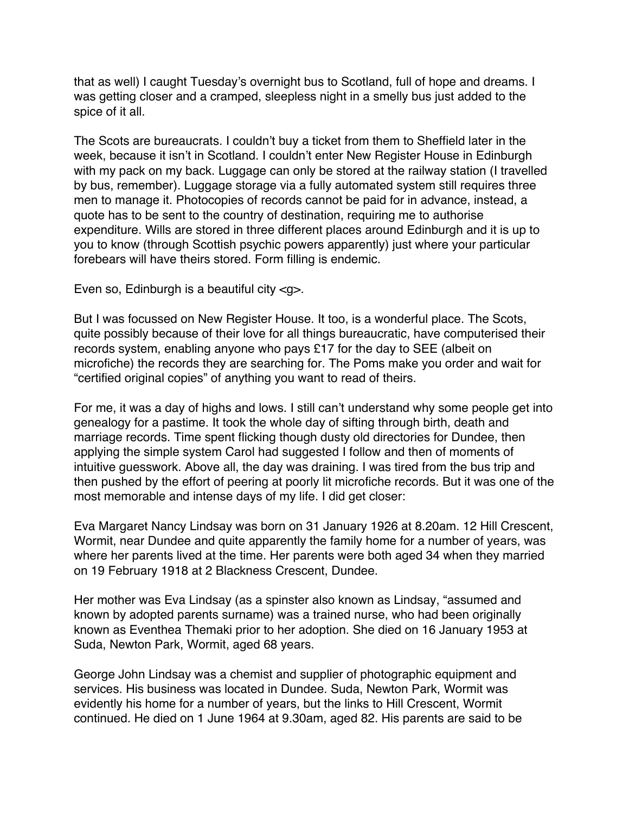that as well) I caught Tuesday's overnight bus to Scotland, full of hope and dreams. I was getting closer and a cramped, sleepless night in a smelly bus just added to the spice of it all.

The Scots are bureaucrats. I couldn't buy a ticket from them to Sheffield later in the week, because it isn't in Scotland. I couldn't enter New Register House in Edinburgh with my pack on my back. Luggage can only be stored at the railway station (I travelled by bus, remember). Luggage storage via a fully automated system still requires three men to manage it. Photocopies of records cannot be paid for in advance, instead, a quote has to be sent to the country of destination, requiring me to authorise expenditure. Wills are stored in three different places around Edinburgh and it is up to you to know (through Scottish psychic powers apparently) just where your particular forebears will have theirs stored. Form filling is endemic.

Even so, Edinburgh is a beautiful city <g>.

But I was focussed on New Register House. It too, is a wonderful place. The Scots, quite possibly because of their love for all things bureaucratic, have computerised their records system, enabling anyone who pays £17 for the day to SEE (albeit on microfiche) the records they are searching for. The Poms make you order and wait for "certified original copies" of anything you want to read of theirs.

For me, it was a day of highs and lows. I still can't understand why some people get into genealogy for a pastime. It took the whole day of sifting through birth, death and marriage records. Time spent flicking though dusty old directories for Dundee, then applying the simple system Carol had suggested I follow and then of moments of intuitive guesswork. Above all, the day was draining. I was tired from the bus trip and then pushed by the effort of peering at poorly lit microfiche records. But it was one of the most memorable and intense days of my life. I did get closer:

Eva Margaret Nancy Lindsay was born on 31 January 1926 at 8.20am. 12 Hill Crescent, Wormit, near Dundee and quite apparently the family home for a number of years, was where her parents lived at the time. Her parents were both aged 34 when they married on 19 February 1918 at 2 Blackness Crescent, Dundee.

Her mother was Eva Lindsay (as a spinster also known as Lindsay, "assumed and known by adopted parents surname) was a trained nurse, who had been originally known as Eventhea Themaki prior to her adoption. She died on 16 January 1953 at Suda, Newton Park, Wormit, aged 68 years.

George John Lindsay was a chemist and supplier of photographic equipment and services. His business was located in Dundee. Suda, Newton Park, Wormit was evidently his home for a number of years, but the links to Hill Crescent, Wormit continued. He died on 1 June 1964 at 9.30am, aged 82. His parents are said to be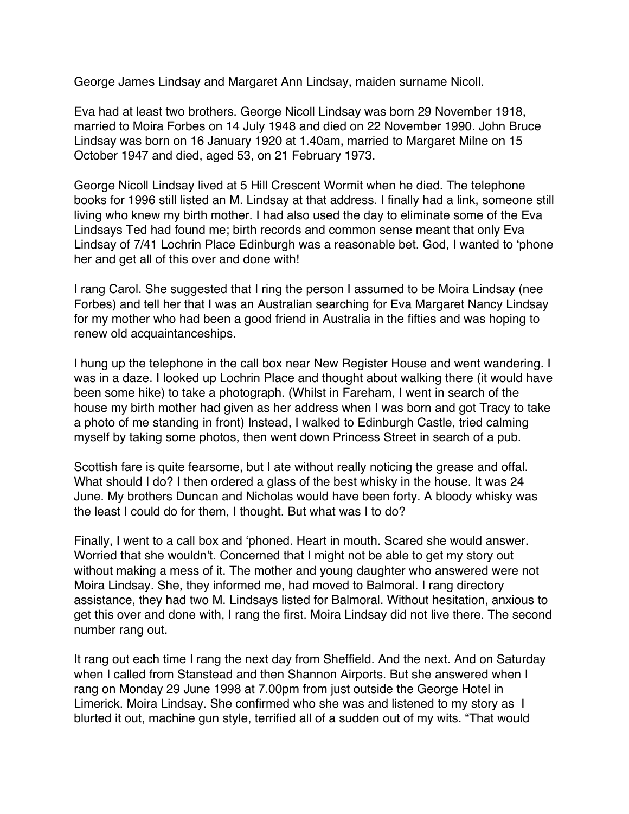George James Lindsay and Margaret Ann Lindsay, maiden surname Nicoll.

Eva had at least two brothers. George Nicoll Lindsay was born 29 November 1918, married to Moira Forbes on 14 July 1948 and died on 22 November 1990. John Bruce Lindsay was born on 16 January 1920 at 1.40am, married to Margaret Milne on 15 October 1947 and died, aged 53, on 21 February 1973.

George Nicoll Lindsay lived at 5 Hill Crescent Wormit when he died. The telephone books for 1996 still listed an M. Lindsay at that address. I finally had a link, someone still living who knew my birth mother. I had also used the day to eliminate some of the Eva Lindsays Ted had found me; birth records and common sense meant that only Eva Lindsay of 7/41 Lochrin Place Edinburgh was a reasonable bet. God, I wanted to 'phone her and get all of this over and done with!

I rang Carol. She suggested that I ring the person I assumed to be Moira Lindsay (nee Forbes) and tell her that I was an Australian searching for Eva Margaret Nancy Lindsay for my mother who had been a good friend in Australia in the fifties and was hoping to renew old acquaintanceships.

I hung up the telephone in the call box near New Register House and went wandering. I was in a daze. I looked up Lochrin Place and thought about walking there (it would have been some hike) to take a photograph. (Whilst in Fareham, I went in search of the house my birth mother had given as her address when I was born and got Tracy to take a photo of me standing in front) Instead, I walked to Edinburgh Castle, tried calming myself by taking some photos, then went down Princess Street in search of a pub.

Scottish fare is quite fearsome, but I ate without really noticing the grease and offal. What should I do? I then ordered a glass of the best whisky in the house. It was 24 June. My brothers Duncan and Nicholas would have been forty. A bloody whisky was the least I could do for them, I thought. But what was I to do?

Finally, I went to a call box and 'phoned. Heart in mouth. Scared she would answer. Worried that she wouldn't. Concerned that I might not be able to get my story out without making a mess of it. The mother and young daughter who answered were not Moira Lindsay. She, they informed me, had moved to Balmoral. I rang directory assistance, they had two M. Lindsays listed for Balmoral. Without hesitation, anxious to get this over and done with, I rang the first. Moira Lindsay did not live there. The second number rang out.

It rang out each time I rang the next day from Sheffield. And the next. And on Saturday when I called from Stanstead and then Shannon Airports. But she answered when I rang on Monday 29 June 1998 at 7.00pm from just outside the George Hotel in Limerick. Moira Lindsay. She confirmed who she was and listened to my story as I blurted it out, machine gun style, terrified all of a sudden out of my wits. "That would